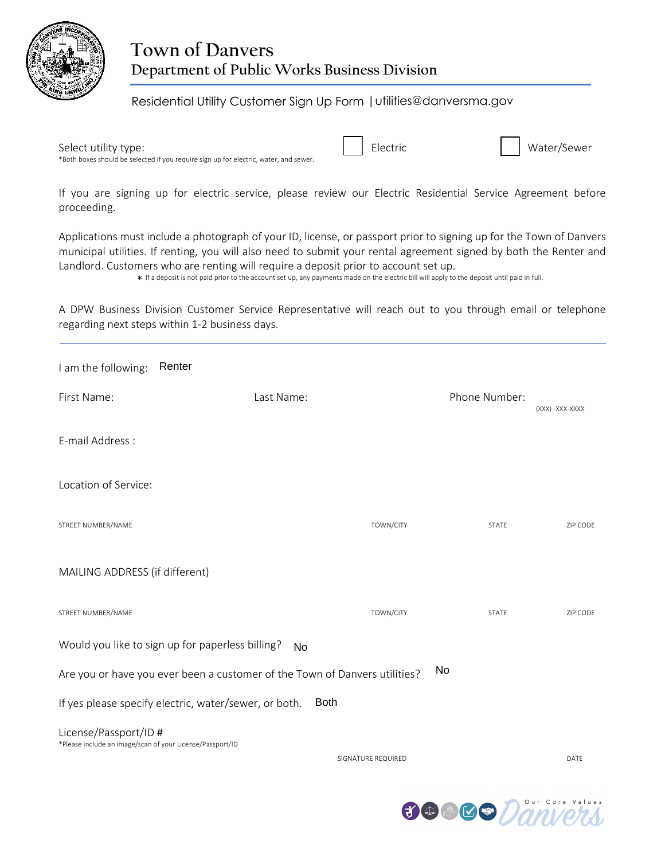

### **Town of Danvers Department of Public Works Business Division**

### Residential Utility Customer Sign Up Form |utilities@danversma.gov

Select utility type: The Community of the Community of the Electric Community of the Water/Sewer \*Both boxes should be selected if you require sign up for electric, water, and sewer.

If you are signing up for electric service, please review our Electric Residential Service Agreement before proceeding.

Applications must include a photograph of your ID, license, or passport prior to signing up for the Town of Danvers municipal utilities. If renting, you will also need to submit your rental agreement signed by both the Renter and Landlord. Customers who are renting will require a deposit prior to account set up.

\* If a deposit is not paid prior to the account set up, any payments made on the electric bill will apply to the deposit until paid in full.

A DPW Business Division Customer Service Representative will reach out to you through email or telephone regarding next steps within 1-2 business days.

| I am the following:                                                                | Renter                                                                     |                    |               |                  |
|------------------------------------------------------------------------------------|----------------------------------------------------------------------------|--------------------|---------------|------------------|
| First Name:                                                                        | Last Name:                                                                 |                    | Phone Number: | (XXX) - XXX-XXXX |
| E-mail Address:                                                                    |                                                                            |                    |               |                  |
| Location of Service:                                                               |                                                                            |                    |               |                  |
| STREET NUMBER/NAME                                                                 |                                                                            | TOWN/CITY          | <b>STATE</b>  | ZIP CODE         |
| MAILING ADDRESS (if different)                                                     |                                                                            |                    |               |                  |
| STREET NUMBER/NAME                                                                 |                                                                            | TOWN/CITY          | <b>STATE</b>  | ZIP CODE         |
|                                                                                    | Would you like to sign up for paperless billing?<br><b>No</b>              |                    |               |                  |
|                                                                                    | Are you or have you ever been a customer of the Town of Danvers utilities? |                    | <b>No</b>     |                  |
|                                                                                    | If yes please specify electric, water/sewer, or both.                      | <b>Both</b>        |               |                  |
| License/Passport/ID #<br>*Please include an image/scan of your License/Passport/ID |                                                                            |                    |               |                  |
|                                                                                    |                                                                            | SIGNATURE REQUIRED |               | DATE             |

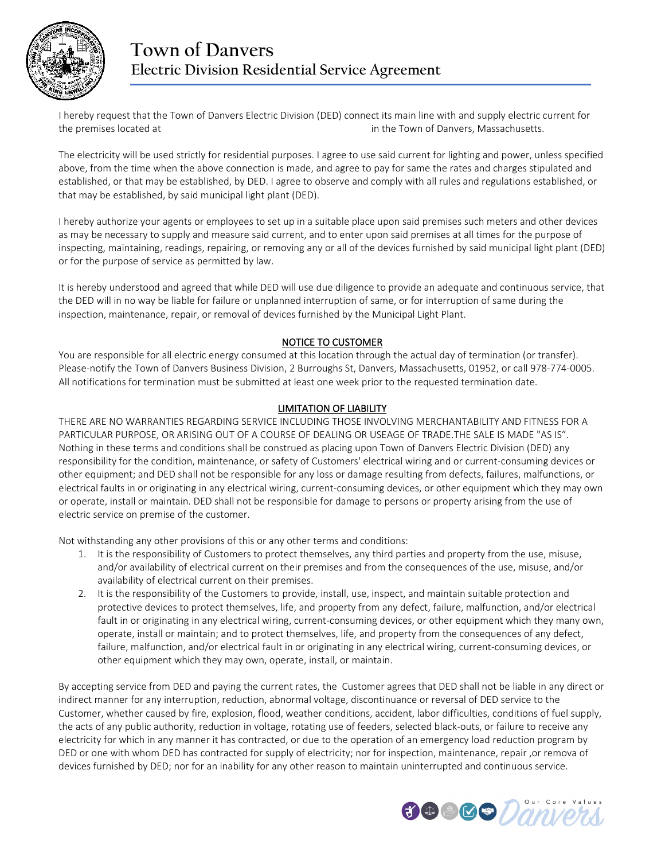

## **Town of Danvers Electric Division Residential Service Agreement**

I hereby request that the Town of Danvers Electric Division (DED) connect its main line with and supply electric current for the premises located at in the Town of Danvers, Massachusetts.

The electricity will be used strictly for residential purposes. I agree to use said current for lighting and power, unless specified above, from the time when the above connection is made, and agree to pay for same the rates and charges stipulated and established, or that may be established, by DED. I agree to observe and comply with all rules and regulations established, or that may be established, by said municipal light plant (DED).

I hereby authorize your agents or employees to set up in a suitable place upon said premises such meters and other devices as may be necessary to supply and measure said current, and to enter upon said premises at all times for the purpose of inspecting, maintaining, readings, repairing, or removing any or all of the devices furnished by said municipal light plant (DED) or for the purpose of service as permitted by law.

It is hereby understood and agreed that while DED will use due diligence to provide an adequate and continuous service, that the DED will in no way be liable for failure or unplanned interruption of same, or for interruption of same during the inspection, maintenance, repair, or removal of devices furnished by the Municipal Light Plant.

#### NOTICE TO CUSTOMER

You are responsible for all electric energy consumed at this location through the actual day of termination (or transfer). Please-notify the Town of Danvers Business Division, 2 Burroughs St, Danvers, Massachusetts, 01952, or call 978-774-0005. All notifications for termination must be submitted at least one week prior to the requested termination date.

#### LIMITATION OF LIABILITY

THERE ARE NO WARRANTIES REGARDING SERVICE INCLUDING THOSE INVOLVING MERCHANTABILITY AND FITNESS FOR A PARTICULAR PURPOSE, OR ARISING OUT OF A COURSE OF DEALING OR USEAGE OF TRADE.THE SALE IS MADE "AS IS". Nothing in these terms and conditions shall be construed as placing upon Town of Danvers Electric Division (DED) any responsibility for the condition, maintenance, or safety of Customers' electrical wiring and or current-consuming devices or other equipment; and DED shall not be responsible for any loss or damage resulting from defects, failures, malfunctions, or electrical faults in or originating in any electrical wiring, current-consuming devices, or other equipment which they may own or operate, install or maintain. DED shall not be responsible for damage to persons or property arising from the use of electric service on premise of the customer.

Not withstanding any other provisions of this or any other terms and conditions:

- 1. It is the responsibility of Customers to protect themselves, any third parties and property from the use, misuse, and/or availability of electrical current on their premises and from the consequences of the use, misuse, and/or availability of electrical current on their premises.
- 2. It is the responsibility of the Customers to provide, install, use, inspect, and maintain suitable protection and protective devices to protect themselves, life, and property from any defect, failure, malfunction, and/or electrical fault in or originating in any electrical wiring, current-consuming devices, or other equipment which they many own, operate, install or maintain; and to protect themselves, life, and property from the consequences of any defect, failure, malfunction, and/or electrical fault in or originating in any electrical wiring, current-consuming devices, or other equipment which they may own, operate, install, or maintain.

By accepting service from DED and paying the current rates, the Customer agrees that DED shall not be liable in any direct or indirect manner for any interruption, reduction, abnormal voltage, discontinuance or reversal of DED service to the Customer, whether caused by fire, explosion, flood, weather conditions, accident, labor difficulties, conditions of fuel supply, the acts of any public authority, reduction in voltage, rotating use of feeders, selected black-outs, or failure to receive any electricity for which in any manner it has contracted, or due to the operation of an emergency load reduction program by DED or one with whom DED has contracted for supply of electricity; nor for inspection, maintenance, repair ,or remova of devices furnished by DED; nor for an inability for any other reason to maintain uninterrupted and continuous service.